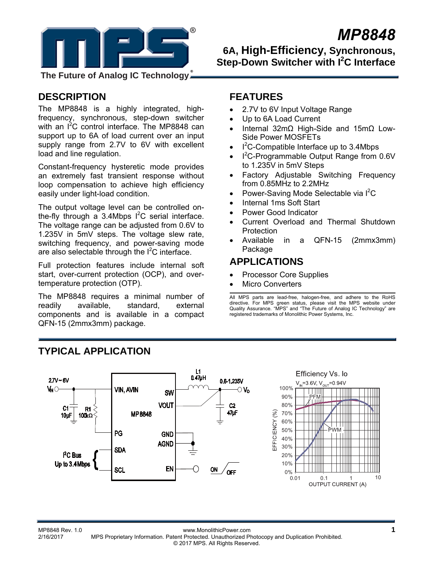

# *MP8848*

**6A, High-Efficiency, Synchronous, Step-Down Switcher with I<sup>2</sup>C Interface** 

**The Future of Analog IC Technology**

# **DESCRIPTION**

The MP8848 is a highly integrated, highfrequency, synchronous, step-down switcher with an I<sup>2</sup>C control interface. The MP8848 can support up to 6A of load current over an input supply range from 2.7V to 6V with excellent load and line regulation.

Constant-frequency hysteretic mode provides an extremely fast transient response without loop compensation to achieve high efficiency easily under light-load condition.

The output voltage level can be controlled onthe-fly through a 3.4Mbps  $I^2C$  serial interface. The voltage range can be adjusted from 0.6V to 1.235V in 5mV steps. The voltage slew rate, switching frequency, and power-saving mode are also selectable through the  $I^2C$  interface.

Full protection features include internal soft start, over-current protection (OCP), and overtemperature protection (OTP).

The MP8848 requires a minimal number of readily available, standard, external components and is available in a compact QFN-15 (2mmx3mm) package.

### **FEATURES**

- 2.7V to 6V Input Voltage Range
- Up to 6A Load Current
- Internal 32mΩ High-Side and 15mΩ Low-Side Power MOSFETs
- $I^2C$ -Compatible Interface up to 3.4Mbps
- $I^2C$ -Programmable Output Range from 0.6V to 1.235V in 5mV Steps
- Factory Adjustable Switching Frequency from 0.85MHz to 2.2MHz
- Power-Saving Mode Selectable via  $I^2C$
- Internal 1ms Soft Start
- Power Good Indicator
- Current Overload and Thermal Shutdown **Protection**
- Available in a QFN-15 (2mmx3mm) Package

### **APPLICATIONS**

- Processor Core Supplies
- Micro Converters

All MPS parts are lead-free, halogen-free, and adhere to the RoHS directive. For MPS green status, please visit the MPS website under Quality Assurance. "MPS" and "The Future of Analog IC Technology" are registered trademarks of Monolithic Power Systems, Inc.



# **TYPICAL APPLICATION**

#### MP8848 Rev. 1.0<br>2/16/2017 MPS Proprietary Information Patent Protected Unauthorized Photocopy and Duplication Prohibited 2/16/2017 MPS Proprietary Information. Patent Protected. Unauthorized Photocopy and Duplication Prohibited. © 2017 MPS. All Rights Reserved.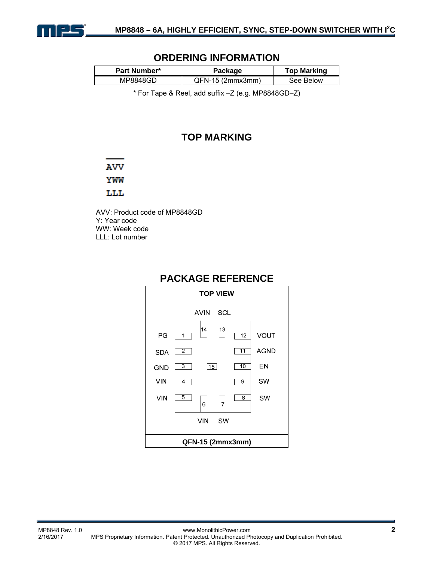

### **ORDERING INFORMATION**

| <b>Part Number*</b> | Package            | <b>Top Marking</b> |  |
|---------------------|--------------------|--------------------|--|
| MP8848GD            | $QFN-15$ (2mmx3mm) | See Below          |  |

\* For Tape & Reel, add suffix –Z (e.g. MP8848GD–Z)

### **TOP MARKING**

### **AVV**

YWW

#### LLL

AVV: Product code of MP8848GD Y: Year code WW: Week code LLL: Lot number



### **PACKAGE REFERENCE**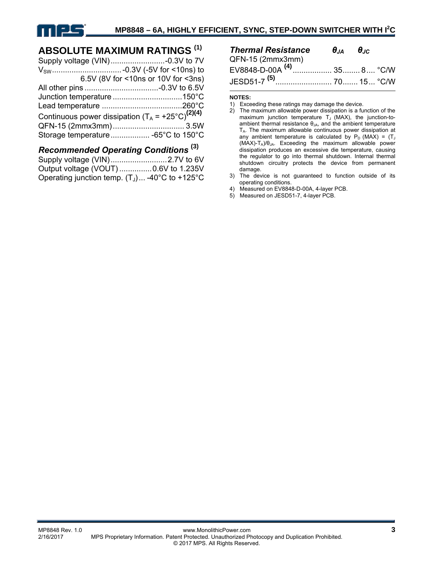# **ABSOLUTE MAXIMUM RATINGS (1)**

|                                                              | 6.5V (8V for <10ns or 10V for <3ns) |
|--------------------------------------------------------------|-------------------------------------|
|                                                              |                                     |
|                                                              |                                     |
|                                                              |                                     |
| Continuous power dissipation $(T_A = +25^{\circ}C)^{(2)(4)}$ |                                     |
|                                                              |                                     |
|                                                              |                                     |
|                                                              |                                     |

#### *Recommended Operating Conditions* **(3)** Supply voltage (VIN) .......................... 2.7V to 6V Output voltage (VOUT) ............... 0.6V to 1.235V Operating junction temp.  $(T_1)$ ... -40°C to +125°C

| <b>Thermal Resistance</b>             | $\theta_{JA}$ $\theta_{JC}$ |  |
|---------------------------------------|-----------------------------|--|
| QFN-15 (2mmx3mm)                      |                             |  |
| EV8848-D-00A <sup>(4)</sup> 35 8 °C/W |                             |  |
| JESD51-7 <sup>(5)</sup> 70 15 °C/W    |                             |  |

#### **NOTES:**

- 2) The maximum allowable power dissipation is a function of the maximum junction temperature  $T_J$  (MAX), the junction-toambient thermal resistance  $\theta_{JA}$ , and the ambient temperature  $T_A$ . The maximum allowable continuous power dissipation at any ambient temperature is calculated by  $P_D$  (MAX) = (T<sub>J</sub> (MAX)-T<sub>A</sub>)/θ<sub>JA</sub>. Exceeding the maximum allowable power dissipation produces an excessive die temperature, causing the regulator to go into thermal shutdown. Internal thermal shutdown circuitry protects the device from permanent damage.
- 3) The device is not guaranteed to function outside of its operating conditions.
- 4) Measured on EV8848-D-00A, 4-layer PCB.
- 5) Measured on JESD51-7, 4-layer PCB.

<sup>1)</sup> Exceeding these ratings may damage the device.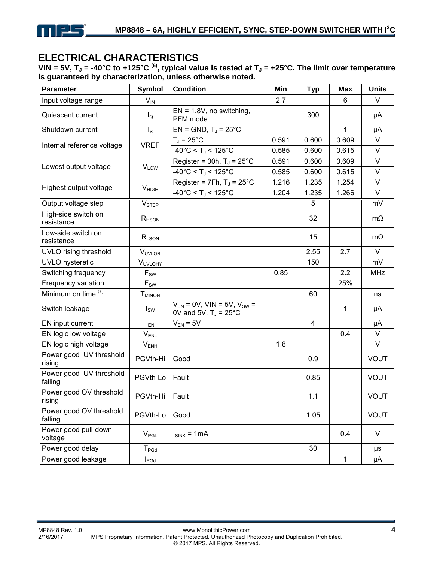

# **ELECTRICAL CHARACTERISTICS**

VIN = 5V,  $T_J$  = -40°C to +125°C <sup>(6)</sup>, typical value is tested at  $T_J$  = +25°C. The limit over temperature **is guaranteed by characterization, unless otherwise noted.** 

| Parameter                          | <b>Symbol</b>              | <b>Condition</b>                                                             | Min   | <b>Typ</b> | <b>Max</b>   | <b>Units</b> |
|------------------------------------|----------------------------|------------------------------------------------------------------------------|-------|------------|--------------|--------------|
| Input voltage range                | $V_{\text{IN}}$            |                                                                              | 2.7   |            | 6            | V            |
| Quiescent current                  | $I_{\mathsf{Q}}$           | $EN = 1.8V$ , no switching,<br>PFM mode                                      |       | 300        |              | μA           |
| Shutdown current                   | $I_{\rm S}$                | $EN = GND$ , $TJ = 25^{\circ}C$                                              |       |            | $\mathbf{1}$ | μA           |
|                                    | <b>VREF</b>                | $T_J = 25^{\circ}C$                                                          | 0.591 | 0.600      | 0.609        | V            |
| Internal reference voltage         |                            | $-40^{\circ}$ C < T <sub>J</sub> < 125 $^{\circ}$ C                          | 0.585 | 0.600      | 0.615        | $\vee$       |
| Lowest output voltage              |                            | Register = 00h, $T_J = 25^{\circ}C$                                          | 0.591 | 0.600      | 0.609        | V            |
|                                    | <b>V<sub>LOW</sub></b>     | $-40^{\circ}$ C < T <sub>J</sub> < 125 $^{\circ}$ C                          | 0.585 | 0.600      | 0.615        | $\vee$       |
| Highest output voltage             | V <sub>HIGH</sub>          | Register = $7Fh$ , T <sub>J</sub> = $25^{\circ}$ C                           | 1.216 | 1.235      | 1.254        | V            |
|                                    |                            | $-40^{\circ}$ C < T <sub>J</sub> < 125 $^{\circ}$ C                          | 1.204 | 1.235      | 1.266        | $\vee$       |
| Output voltage step                | $V_{\text{STEP}}$          |                                                                              |       | 5          |              | mV           |
| High-side switch on<br>resistance  | $R$ <sub>HSON</sub>        |                                                                              |       | 32         |              | $m\Omega$    |
| Low-side switch on<br>resistance   | $R_{LSON}$                 |                                                                              |       | 15         |              | $m\Omega$    |
| UVLO rising threshold              | <b>VUVLOR</b>              |                                                                              |       | 2.55       | 2.7          | V            |
| UVLO hysteretic                    | <b>VUVLOHY</b>             |                                                                              |       | 150        |              | mV           |
| Switching frequency                | $F_{SW}$                   |                                                                              | 0.85  |            | 2.2          | <b>MHz</b>   |
| Frequency variation                | $\mathsf{F}_{\mathsf{SW}}$ |                                                                              |       |            | 25%          |              |
| Minimum on time $(7)$              | <b>T</b> <sub>MINON</sub>  |                                                                              |       | 60         |              | ns           |
| Switch leakage                     | $I_{SW}$                   | $V_{EN}$ = 0V, VIN = 5V, V <sub>SW</sub> =<br>OV and 5V, $T_J = 25^{\circ}C$ |       |            | 1            | μA           |
| EN input current                   | $I_{EN}$                   | $V_{EN} = 5V$                                                                |       | 4          |              | μA           |
| EN logic low voltage               | V <sub>ENL</sub>           |                                                                              |       |            | 0.4          | $\vee$       |
| EN logic high voltage              | $V_{ENH}$                  |                                                                              | 1.8   |            |              | V            |
| Power good UV threshold<br>rising  | PGVth-Hi                   | Good                                                                         |       | 0.9        |              | <b>VOUT</b>  |
| Power good UV threshold<br>falling | PGVth-Lo                   | Fault                                                                        |       | 0.85       |              | <b>VOUT</b>  |
| Power good OV threshold<br>rising  | PGVth-Hi                   | Fault                                                                        |       | 1.1        |              | <b>VOUT</b>  |
| Power good OV threshold<br>falling | PGVth-Lo                   | Good                                                                         |       | 1.05       |              | <b>VOUT</b>  |
| Power good pull-down<br>voltage    | $V_{PGL}$                  | $I_{SINK}$ = 1mA                                                             |       |            | 0.4          | V            |
| Power good delay                   | $T_{PGd}$                  |                                                                              |       | 30         |              | μs           |
| Power good leakage                 | $I_{\mathsf{PGd}}$         |                                                                              |       |            | 1            | μA           |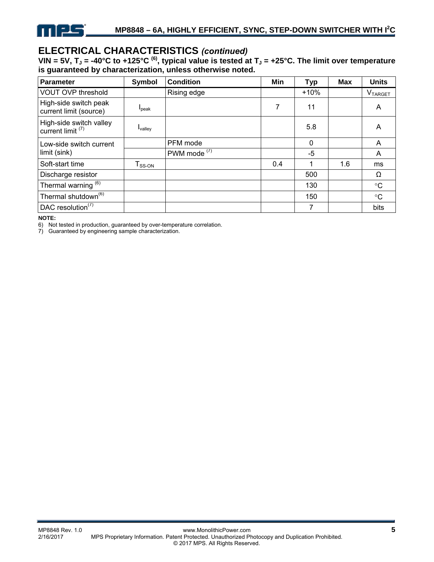

### **ELECTRICAL CHARACTERISTICS** *(continued)*

**VIN = 5V, T<sub>J</sub> = -40°C to +125°C <sup>(6)</sup>, typical value is tested at T<sub>J</sub> = +25°C. The limit over temperature is guaranteed by characterization, unless otherwise noted.** 

| <b>Parameter</b>                                        | Symbol              | <b>Condition</b>        | Min | <b>Typ</b> | <b>Max</b> | <b>Units</b>          |
|---------------------------------------------------------|---------------------|-------------------------|-----|------------|------------|-----------------------|
| <b>VOUT OVP threshold</b>                               |                     | Rising edge             |     | $+10%$     |            | $V_{\texttt{TARGET}}$ |
| High-side switch peak<br>current limit (source)         | I <sub>peak</sub>   |                         | 7   | 11         |            | A                     |
| High-side switch valley<br>current limit <sup>(7)</sup> | $I_{\text{valley}}$ |                         |     | 5.8        |            | A                     |
| Low-side switch current                                 |                     | PFM mode                |     | $\Omega$   |            | A                     |
| limit (sink)                                            |                     | PWM mode <sup>(7)</sup> |     | -5         |            | A                     |
| Soft-start time                                         | $T_{SS-ON}$         |                         | 0.4 | 1          | 1.6        | ms                    |
| Discharge resistor                                      |                     |                         |     | 500        |            | Ω                     |
| Thermal warning <sup>(6)</sup>                          |                     |                         |     | 130        |            | $^{\circ}C$           |
| Thermal shutdown <sup>(6)</sup>                         |                     |                         |     | 150        |            | $^{\circ}C$           |
| DAC resolution $(7)$                                    |                     |                         |     | 7          |            | bits                  |

**NOTE:** 

6) Not tested in production, guaranteed by over-temperature correlation.

7) Guaranteed by engineering sample characterization.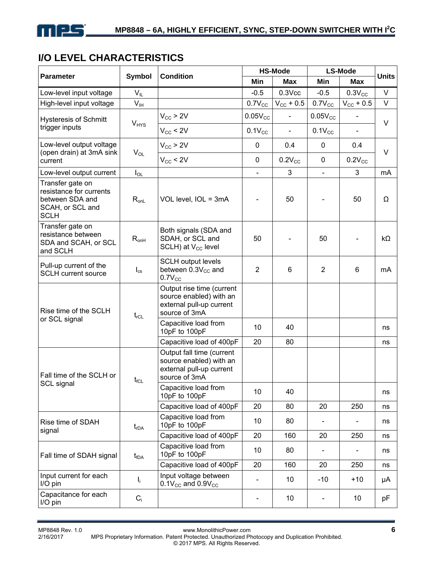# **I/O LEVEL CHARACTERISTICS**

|                                                                                                   |                          | <b>Condition</b>                                                                                  |                          | <b>HS-Mode</b>        | <b>LS-Mode</b>           | <b>Units</b>             |        |
|---------------------------------------------------------------------------------------------------|--------------------------|---------------------------------------------------------------------------------------------------|--------------------------|-----------------------|--------------------------|--------------------------|--------|
| <b>Parameter</b>                                                                                  | <b>Symbol</b>            |                                                                                                   | Min                      | <b>Max</b>            | Min                      | Max                      |        |
| Low-level input voltage                                                                           | $V_{IL}$                 |                                                                                                   | $-0.5$                   | $0.3$ Vcc             | $-0.5$                   | $0.3V_{CC}$              | V      |
| High-level input voltage                                                                          | $V_{IH}$                 |                                                                                                   | $0.7V_{CC}$              | $V_{\text{CC}} + 0.5$ | $0.7V_{CC}$              | $V_{\rm CC}$ + 0.5       | $\vee$ |
| <b>Hysteresis of Schmitt</b>                                                                      |                          | $V_{CC}$ > 2V                                                                                     | $0.05V_{CC}$             |                       | $0.05V_{CC}$             |                          | V      |
| trigger inputs                                                                                    | $V_{HYS}$                | $V_{CC}$ < 2V                                                                                     | $0.1V_{CC}$              | $\blacksquare$        | $0.1V_{CC}$              | $\overline{\phantom{0}}$ |        |
| Low-level output voltage<br>(open drain) at 3mA sink                                              | $V_{OL}$                 | $V_{CC}$ > 2V                                                                                     | $\pmb{0}$                | 0.4                   | $\mathbf 0$              | 0.4                      | $\vee$ |
| current                                                                                           |                          | $V_{CC}$ < 2V                                                                                     | $\mathbf 0$              | $0.2V_{CC}$           | 0                        | $0.2V_{CC}$              |        |
| Low-level output current                                                                          | $I_{OL}$                 |                                                                                                   | $\blacksquare$           | 3                     | $\blacksquare$           | 3                        | mA     |
| Transfer gate on<br>resistance for currents<br>between SDA and<br>SCAH, or SCL and<br><b>SCLH</b> | $R_{onL}$                | VOL level, IOL = 3mA                                                                              |                          | 50                    |                          | 50                       | Ω      |
| Transfer gate on<br>resistance between<br>SDA and SCAH, or SCL<br>and SCLH                        | $R_{onH}$                | Both signals (SDA and<br>SDAH, or SCL and<br>$SCLH$ ) at $V_{CC}$ level                           | 50                       |                       | 50                       |                          | kΩ     |
| Pull-up current of the<br><b>SCLH current source</b>                                              | $\mathsf{I}_{\text{cs}}$ | <b>SCLH output levels</b><br>between $0.3V_{CC}$ and<br>$0.7V_{CC}$                               | $\overline{2}$           | 6                     | $\overline{2}$           | 6                        | mA     |
| Rise time of the SCLH                                                                             | $t_{rCL}$                | Output rise time (current<br>source enabled) with an<br>external pull-up current<br>source of 3mA |                          |                       |                          |                          |        |
| or SCL signal                                                                                     |                          | Capacitive load from<br>10pF to 100pF                                                             | 10                       | 40                    |                          |                          | ns     |
|                                                                                                   |                          | Capacitive load of 400pF                                                                          | 20                       | 80                    |                          |                          | ns     |
| Fall time of the SCLH or                                                                          | $t_{fCL}$                | Output fall time (current<br>source enabled) with an<br>external pull-up current<br>source of 3mA |                          |                       |                          |                          |        |
| SCL signal                                                                                        |                          | Capacitive load from<br>10pF to 100pF                                                             | 10                       | 40                    |                          |                          | ns     |
|                                                                                                   |                          | Capacitive load of 400pF                                                                          | 20                       | 80                    | 20                       | 250                      | ns     |
| Rise time of SDAH<br>signal                                                                       | $t_{rDA}$                | Capacitive load from<br>10pF to 100pF                                                             | 10                       | 80                    |                          |                          | ns     |
|                                                                                                   |                          | Capacitive load of 400pF                                                                          | 20                       | 160                   | 20                       | 250                      | ns     |
| Fall time of SDAH signal                                                                          | $t_{fDA}$                | Capacitive load from<br>10pF to 100pF                                                             | 10                       | 80                    | $\blacksquare$           |                          | ns     |
|                                                                                                   |                          | Capacitive load of 400pF                                                                          | 20                       | 160                   | 20                       | 250                      | ns     |
| Input current for each<br>I/O pin                                                                 | I,                       | Input voltage between<br>$0.1V_{CC}$ and $0.9V_{CC}$                                              |                          | 10                    | $-10$                    | $+10$                    | μA     |
| Capacitance for each<br>I/O pin                                                                   | $C_i$                    |                                                                                                   | $\overline{\phantom{a}}$ | 10                    | $\overline{\phantom{a}}$ | 10                       | pF     |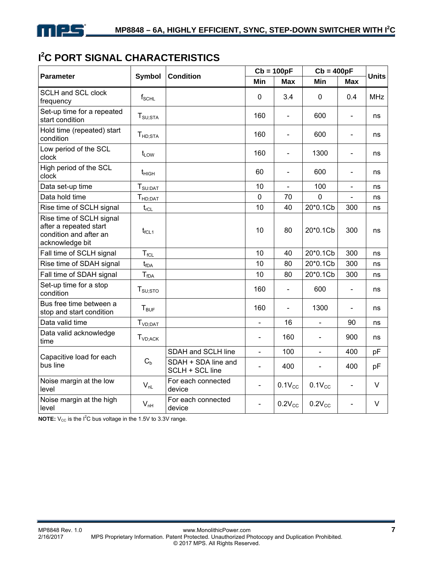

# **I 2 C PORT SIGNAL CHARACTERISTICS**

| <b>Parameter</b>                                                                                | <b>Symbol</b>                 | <b>Condition</b>                       |                | $Cb = 100pF$   | $Cb = 400pF$   | <b>Units</b>                 |            |
|-------------------------------------------------------------------------------------------------|-------------------------------|----------------------------------------|----------------|----------------|----------------|------------------------------|------------|
|                                                                                                 |                               |                                        | Min            | <b>Max</b>     | Min            | <b>Max</b>                   |            |
| <b>SCLH and SCL clock</b><br>frequency                                                          | $f_{\scriptstyle\text{SCHL}}$ |                                        | $\mathbf 0$    | 3.4            | 0              | 0.4                          | <b>MHz</b> |
| Set-up time for a repeated<br>start condition                                                   | $T_{\text{SU;STA}}$           |                                        | 160            | $\blacksquare$ | 600            | $\blacksquare$               | ns         |
| Hold time (repeated) start<br>condition                                                         | $T_{HD;STA}$                  |                                        | 160            |                | 600            | ÷,                           | ns         |
| Low period of the SCL<br>clock                                                                  | $t_{LOW}$                     |                                        | 160            |                | 1300           | $\overline{a}$               | ns         |
| High period of the SCL<br>clock                                                                 | $t_{\text{HIGH}}$             |                                        | 60             |                | 600            | $\overline{\phantom{0}}$     | ns         |
| Data set-up time                                                                                | $T_{\text{SU:DAT}}$           |                                        | 10             |                | 100            | $\overline{a}$               | ns         |
| Data hold time                                                                                  | T <sub>HD;DAT</sub>           |                                        | $\mathbf 0$    | 70             | 0              | L,                           | ns         |
| Rise time of SCLH signal                                                                        | $t_{rCL}$                     |                                        | 10             | 40             | 20*0.1Cb       | 300                          | ns         |
| Rise time of SCLH signal<br>after a repeated start<br>condition and after an<br>acknowledge bit | $t_{fCL1}$                    |                                        | 10             | 80             | 20*0.1Cb       | 300                          | ns         |
| Fall time of SCLH signal                                                                        | $T_{fCL}$                     |                                        | 10             | 40             | 20*0.1Cb       | 300                          | ns         |
| Rise time of SDAH signal                                                                        | $t_{fDA}$                     |                                        | 10             | 80             | 20*0.1Cb       | 300                          | ns         |
| Fall time of SDAH signal                                                                        | $T_{fDA}$                     |                                        | 10             | 80             | 20*0.1Cb       | 300                          | ns         |
| Set-up time for a stop<br>condition                                                             | $T_{\text{SU;STO}}$           |                                        | 160            | $\blacksquare$ | 600            | L,                           | ns         |
| Bus free time between a<br>stop and start condition                                             | $T_{BUF}$                     |                                        | 160            | $\blacksquare$ | 1300           | $\qquad \qquad \blacksquare$ | ns         |
| Data valid time                                                                                 | T <sub>VD;DAT</sub>           |                                        | $\overline{a}$ | 16             | $\blacksquare$ | 90                           | ns         |
| Data valid acknowledge<br>time                                                                  | $T_{VD;ACK}$                  |                                        | $\blacksquare$ | 160            | $\blacksquare$ | 900                          | ns         |
|                                                                                                 |                               | SDAH and SCLH line                     | $\blacksquare$ | 100            | $\blacksquare$ | 400                          | pF         |
| Capacitive load for each<br>bus line                                                            | $\mathrm{C_{b}}$              | SDAH + SDA line and<br>SCLH + SCL line |                | 400            |                | 400                          | pF         |
| Noise margin at the low<br>level                                                                | $V_{nL}$                      | For each connected<br>device           |                | $0.1V_{CC}$    | $0.1V_{CC}$    | ÷,                           | $\vee$     |
| Noise margin at the high<br>level                                                               | $V_{nH}$                      | For each connected<br>device           |                | $0.2V_{CC}$    | $0.2V_{CC}$    |                              | V          |

**NOTE:**  $V_{CC}$  is the I<sup>2</sup>C bus voltage in the 1.5V to 3.3V range.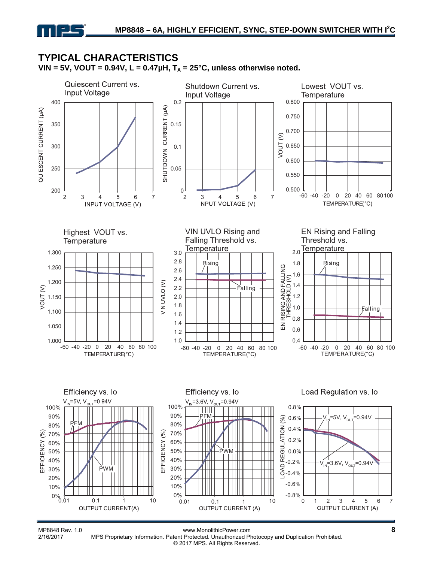### **TYPICAL CHARACTERISTICS**  VIN = 5V, VOUT =  $0.94V$ , L =  $0.47\mu$ H, T<sub>A</sub> =  $25^{\circ}$ C, unless otherwise noted.



MP8848 Rev. 1.0 www.MonolithicPower.com **8** MPS Proprietary Information. Patent Protected. Unauthorized Photocopy and Duplication Prohibited. © 2017 MPS. All Rights Reserved.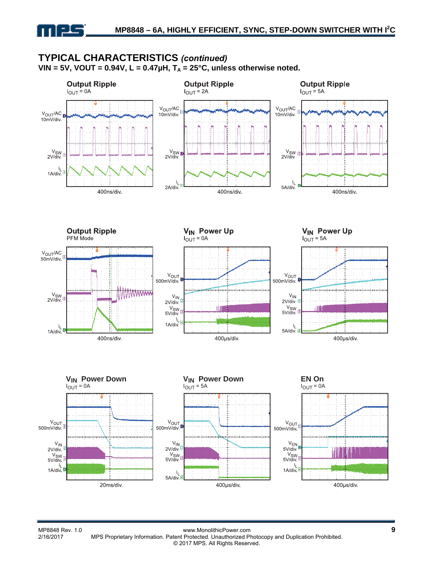### **TYPICAL CHARACTERISTICS** *(continued)* VIN = 5V, VOUT =  $0.94V$ , L =  $0.47\mu$ H, T<sub>A</sub> =  $25^{\circ}$ C, unless otherwise noted.

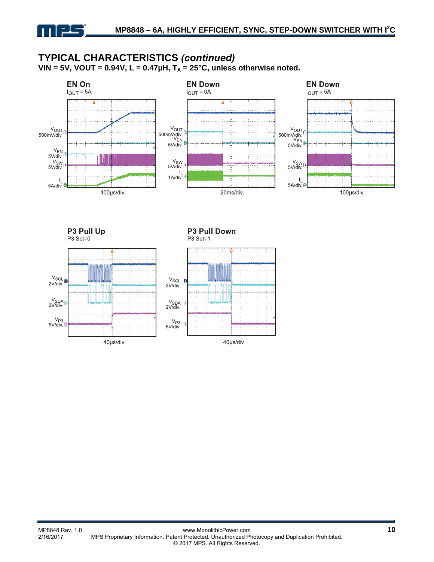# **TYPICAL CHARACTERISTICS** *(continued)*

VIN = 5V, VOUT =  $0.94V$ , L =  $0.47\mu$ H, T<sub>A</sub> =  $25^{\circ}$ C, unless otherwise noted.



P3 Pull Up P3 Set=0

P3 Pull Down P3 Set=1



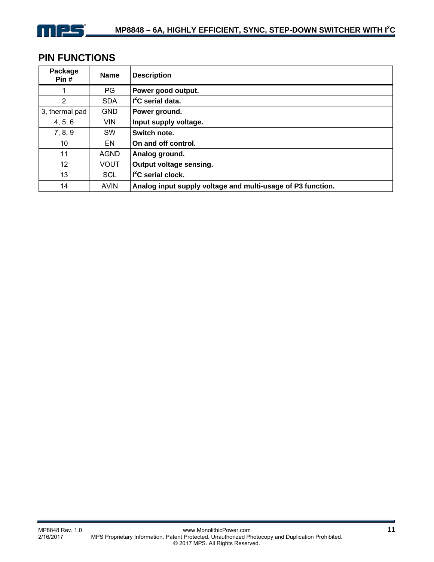

## **PIN FUNCTIONS**

| Package<br>Pin#   | <b>Name</b> | <b>Description</b>                                          |
|-------------------|-------------|-------------------------------------------------------------|
|                   | PG.         | Power good output.                                          |
| 2                 | <b>SDA</b>  | $I2C$ serial data.                                          |
| 3, thermal pad    | <b>GND</b>  | Power ground.                                               |
| 4, 5, 6           | <b>VIN</b>  | Input supply voltage.                                       |
| 7, 8, 9           | <b>SW</b>   | Switch note.                                                |
| 10                | EN          | On and off control.                                         |
| 11                | <b>AGND</b> | Analog ground.                                              |
| $12 \overline{ }$ | <b>VOUT</b> | Output voltage sensing.                                     |
| 13                | <b>SCL</b>  | $I2C$ serial clock.                                         |
| 14                | <b>AVIN</b> | Analog input supply voltage and multi-usage of P3 function. |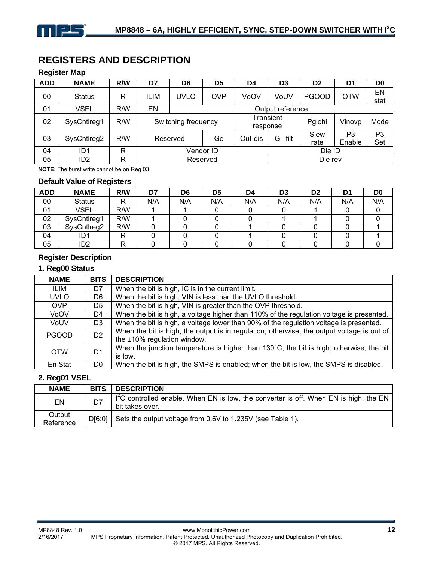# **REGISTERS AND DESCRIPTION**

#### **Register Map**

| <b>ADD</b> | <b>NAME</b>     | R/W | D7                  | D <sub>6</sub> | D <sub>5</sub> | D4      | D3                    | D <sub>2</sub> | D <sub>1</sub>           | D <sub>0</sub>        |
|------------|-----------------|-----|---------------------|----------------|----------------|---------|-----------------------|----------------|--------------------------|-----------------------|
| 00         | <b>Status</b>   | R   | <b>ILIM</b>         | UVLO           | <b>OVP</b>     | VoOV    | VoUV                  | <b>PGOOD</b>   | <b>OTW</b>               | EN<br>stat            |
| 01         | <b>VSEL</b>     | R/W | EN                  |                |                |         | Output reference      |                |                          |                       |
| 02         | SysCntlreg1     | R/W | Switching frequency |                |                |         | Transient<br>response | Pglohi         | Vinovp                   | Mode                  |
| 03         | SysCntIreg2     | R/W |                     | Reserved       |                | Out-dis | GI filt               | Slew<br>rate   | P <sub>3</sub><br>Enable | P <sub>3</sub><br>Set |
| 04         | ID1             | R   | Vendor ID           |                |                |         | Die ID                |                |                          |                       |
| 05         | ID <sub>2</sub> | R   |                     |                | Reserved       |         |                       | Die rev        |                          |                       |

**NOTE:** The burst write cannot be on Reg 03.

#### **Default Value of Registers**

| <b>ADD</b> | <b>NAME</b>   | R/W | D7  | D6  | D <sub>5</sub> | D4  | D <sub>3</sub> | D <sub>2</sub> | D1  | D <sub>0</sub> |
|------------|---------------|-----|-----|-----|----------------|-----|----------------|----------------|-----|----------------|
| 00         | <b>Status</b> | R   | N/A | N/A | N/A            | N/A | N/A            | N/A            | N/A | N/A            |
| 01         | <b>VSEL</b>   | R/W |     |     |                |     |                |                |     |                |
| 02         | SysCntlreg1   | R/W |     |     |                |     |                |                |     |                |
| 03         | SysCntlreg2   | R/W |     |     |                |     |                |                |     |                |
| 04         | ID1           | R   |     |     |                |     |                |                |     |                |
| 05         | 'D2           | ₽   |     |     |                |     |                |                |     |                |

#### **Register Description**

#### **1. Reg00 Status**

| <b>NAME</b>  | <b>BITS</b>    | <b>DESCRIPTION</b>                                                                                                           |
|--------------|----------------|------------------------------------------------------------------------------------------------------------------------------|
| ILIM         | D7             | When the bit is high, IC is in the current limit.                                                                            |
| <b>UVLO</b>  | D6             | When the bit is high, VIN is less than the UVLO threshold.                                                                   |
| <b>OVP</b>   | D <sub>5</sub> | When the bit is high, VIN is greater than the OVP threshold.                                                                 |
| VoOV         | D4             | When the bit is high, a voltage higher than 110% of the regulation voltage is presented.                                     |
| VoUV         | D3             | When the bit is high, a voltage lower than 90% of the regulation voltage is presented.                                       |
| <b>PGOOD</b> | D <sub>2</sub> | When the bit is high, the output is in regulation; otherwise, the output voltage is out of<br>the $±10\%$ regulation window. |
| <b>OTW</b>   | D1             | When the junction temperature is higher than $130^{\circ}$ C, the bit is high; otherwise, the bit<br>is low.                 |
| En Stat      | D0             | When the bit is high, the SMPS is enabled; when the bit is low, the SMPS is disabled.                                        |

### **2. Reg01 VSEL**

| <b>NAME</b>         | <b>BITS</b> | <b>DESCRIPTION</b>                                                                                                 |
|---------------------|-------------|--------------------------------------------------------------------------------------------------------------------|
| EN                  | D7          | $T^2C$ controlled enable. When EN is low, the converter is off. When EN is high, the EN $\vert$<br>bit takes over. |
| Output<br>Reference | DI6:01      | Sets the output voltage from 0.6V to 1.235V (see Table 1).                                                         |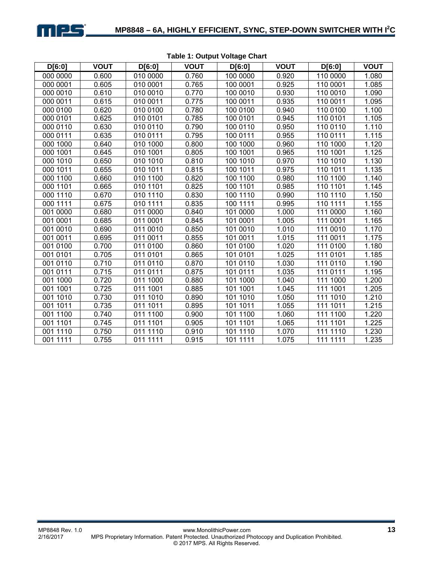

| D[6:0]   | <b>VOUT</b> | D[6:0]   | <b>VOUT</b> | D[6:0]   | <b>VOUT</b> | D[6:0]   | <b>VOUT</b> |
|----------|-------------|----------|-------------|----------|-------------|----------|-------------|
| 000 0000 | 0.600       | 010 0000 | 0.760       | 100 0000 | 0.920       | 110 0000 | 1.080       |
| 000 0001 | 0.605       | 010 0001 | 0.765       | 100 0001 | 0.925       | 110 0001 | 1.085       |
| 000 0010 | 0.610       | 010 0010 | 0.770       | 100 0010 | 0.930       | 110 0010 | 1.090       |
| 000 0011 | 0.615       | 010 0011 | 0.775       | 100 0011 | 0.935       | 110 0011 | 1.095       |
| 000 0100 | 0.620       | 010 0100 | 0.780       | 100 0100 | 0.940       | 110 0100 | 1.100       |
| 000 0101 | 0.625       | 010 0101 | 0.785       | 100 0101 | 0.945       | 110 0101 | 1.105       |
| 000 0110 | 0.630       | 010 0110 | 0.790       | 100 0110 | 0.950       | 110 0110 | 1.110       |
| 000 0111 | 0.635       | 010 0111 | 0.795       | 100 0111 | 0.955       | 110 0111 | 1.115       |
| 000 1000 | 0.640       | 010 1000 | 0.800       | 100 1000 | 0.960       | 110 1000 | 1.120       |
| 000 1001 | 0.645       | 010 1001 | 0.805       | 100 1001 | 0.965       | 110 1001 | 1.125       |
| 000 1010 | 0.650       | 010 1010 | 0.810       | 100 1010 | 0.970       | 110 1010 | 1.130       |
| 000 1011 | 0.655       | 010 1011 | 0.815       | 100 1011 | 0.975       | 110 1011 | 1.135       |
| 000 1100 | 0.660       | 010 1100 | 0.820       | 100 1100 | 0.980       | 110 1100 | 1.140       |
| 000 1101 | 0.665       | 010 1101 | 0.825       | 100 1101 | 0.985       | 110 1101 | 1.145       |
| 000 1110 | 0.670       | 010 1110 | 0.830       | 100 1110 | 0.990       | 110 1110 | 1.150       |
| 000 1111 | 0.675       | 010 1111 | 0.835       | 100 1111 | 0.995       | 110 1111 | 1.155       |
| 001 0000 | 0.680       | 011 0000 | 0.840       | 101 0000 | 1.000       | 111 0000 | 1.160       |
| 001 0001 | 0.685       | 011 0001 | 0.845       | 101 0001 | 1.005       | 111 0001 | 1.165       |
| 001 0010 | 0.690       | 011 0010 | 0.850       | 101 0010 | 1.010       | 111 0010 | 1.170       |
| 001 0011 | 0.695       | 011 0011 | 0.855       | 101 0011 | 1.015       | 111 0011 | 1.175       |
| 001 0100 | 0.700       | 011 0100 | 0.860       | 101 0100 | 1.020       | 111 0100 | 1.180       |
| 001 0101 | 0.705       | 011 0101 | 0.865       | 101 0101 | 1.025       | 111 0101 | 1.185       |
| 001 0110 | 0.710       | 011 0110 | 0.870       | 101 0110 | 1.030       | 111 0110 | 1.190       |
| 001 0111 | 0.715       | 011 0111 | 0.875       | 101 0111 | 1.035       | 111 0111 | 1.195       |
| 001 1000 | 0.720       | 011 1000 | 0.880       | 101 1000 | 1.040       | 111 1000 | 1.200       |
| 001 1001 | 0.725       | 011 1001 | 0.885       | 101 1001 | 1.045       | 111 1001 | 1.205       |
| 001 1010 | 0.730       | 011 1010 | 0.890       | 101 1010 | 1.050       | 111 1010 | 1.210       |
| 001 1011 | 0.735       | 011 1011 | 0.895       | 101 1011 | 1.055       | 111 1011 | 1.215       |
| 001 1100 | 0.740       | 011 1100 | 0.900       | 101 1100 | 1.060       | 111 1100 | 1.220       |
| 001 1101 | 0.745       | 011 1101 | 0.905       | 101 1101 | 1.065       | 111 1101 | 1.225       |
| 001 1110 | 0.750       | 011 1110 | 0.910       | 101 1110 | 1.070       | 111 1110 | 1.230       |
| 001 1111 | 0.755       | 011 1111 | 0.915       | 101 1111 | 1.075       | 111 1111 | 1.235       |

#### **Table 1: Output Voltage Chart**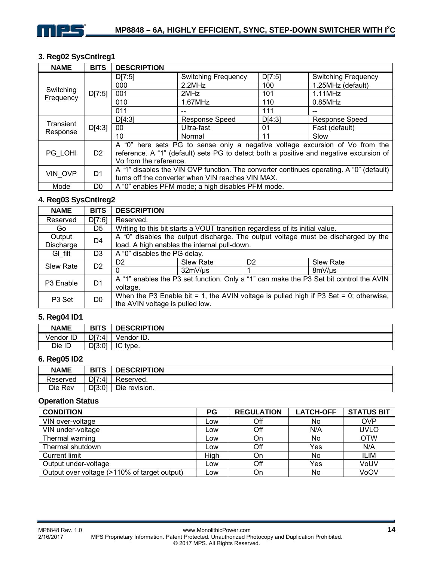

### **3. Reg02 SysCntlreg1**

| <b>NAME</b>            | <b>BITS</b>    | <b>DESCRIPTION</b>                                                                                                                                                                               |                            |        |                            |  |
|------------------------|----------------|--------------------------------------------------------------------------------------------------------------------------------------------------------------------------------------------------|----------------------------|--------|----------------------------|--|
|                        |                | D[7:5]                                                                                                                                                                                           | <b>Switching Frequency</b> | D[7:5] | <b>Switching Frequency</b> |  |
|                        |                | 000                                                                                                                                                                                              | 2.2MHz                     |        | 1.25MHz (default)          |  |
| Switching<br>Frequency | D[7:5]         | 001                                                                                                                                                                                              | 2MHz                       | 101    | $1.11$ MHz                 |  |
|                        |                | 010                                                                                                                                                                                              | 1.67MHz                    | 110    | $0.85$ MHz                 |  |
|                        |                | 011                                                                                                                                                                                              |                            | 111    |                            |  |
| Transient              |                | D[4:3]                                                                                                                                                                                           | <b>Response Speed</b>      | D[4:3] | Response Speed             |  |
| Response               | D[4:3]         | 00                                                                                                                                                                                               | Ultra-fast                 | 01     | Fast (default)             |  |
|                        |                | 10                                                                                                                                                                                               | Normal                     | 11     | Slow                       |  |
| PG LOHI                | D <sub>2</sub> | A "0" here sets PG to sense only a negative voltage excursion of Vo from the<br>reference. A "1" (default) sets PG to detect both a positive and negative excursion of<br>Vo from the reference. |                            |        |                            |  |
| VIN OVP                | D <sub>1</sub> | A "1" disables the VIN OVP function. The converter continues operating. A "0" (default)<br>turns off the converter when VIN reaches VIN MAX.                                                     |                            |        |                            |  |
| Mode                   | D <sub>0</sub> | A "0" enables PFM mode; a high disables PFM mode.                                                                                                                                                |                            |        |                            |  |

#### **4. Reg03 SysCntlreg2**

| <b>NAME</b>           | <b>BITS</b>    | <b>DESCRIPTION</b>                           |                                                                               |                |                                                                                        |  |
|-----------------------|----------------|----------------------------------------------|-------------------------------------------------------------------------------|----------------|----------------------------------------------------------------------------------------|--|
| Reserved              | D[7:6]         | Reserved.                                    |                                                                               |                |                                                                                        |  |
| Go                    | D5             |                                              | Writing to this bit starts a VOUT transition regardless of its initial value. |                |                                                                                        |  |
| Output                | D <sub>4</sub> |                                              |                                                                               |                | A "0" disables the output discharge. The output voltage must be discharged by the      |  |
| Discharge             |                | load. A high enables the internal pull-down. |                                                                               |                |                                                                                        |  |
| GI filt               | D3             | A "0" disables the PG delay.                 |                                                                               |                |                                                                                        |  |
| <b>Slew Rate</b>      | D <sub>2</sub> | D <sub>2</sub>                               | <b>Slew Rate</b>                                                              | D <sub>2</sub> | <b>Slew Rate</b>                                                                       |  |
|                       |                |                                              | 32mV/us                                                                       |                | 8mV/us                                                                                 |  |
| P <sub>3</sub> Enable | D <sub>1</sub> |                                              |                                                                               |                | A "1" enables the P3 set function. Only a "1" can make the P3 Set bit control the AVIN |  |
|                       |                | voltage.                                     |                                                                               |                |                                                                                        |  |
| P <sub>3</sub> Set    | D <sub>0</sub> |                                              |                                                                               |                | When the P3 Enable bit = 1, the AVIN voltage is pulled high if P3 Set = 0; otherwise,  |  |
|                       |                | the AVIN voltage is pulled low.              |                                                                               |                |                                                                                        |  |

#### **5. Reg04 ID1**

| <b>NAME</b> | <b>BITS</b> | <b>DESCRIPTION</b> |
|-------------|-------------|--------------------|
| Vendor ID   | D[7:4]      | ٠ID.<br>Vendor     |
| Die ID      | D[3:0]      | IC<br>type.        |

### **6. Reg05 ID2**

| <b>NAME</b> | <b>BITS</b> | <b>DESCRIPTION</b> |
|-------------|-------------|--------------------|
| Reserved    | D[7:4]      | Reserved.          |
| Die Rev     | D[3:0]      | Die revision.      |

#### **Operation Status**

| <b>CONDITION</b>                             | PG   | <b>REGULATION</b> | <b>LATCH-OFF</b> | <b>STATUS BIT</b> |
|----------------------------------------------|------|-------------------|------------------|-------------------|
| VIN over-voltage                             | Low  | Off               | No               | <b>OVP</b>        |
| VIN under-voltage                            | Low  | Off               | N/A              | <b>UVLO</b>       |
| Thermal warning                              | Low  | On                | No               | <b>OTW</b>        |
| Thermal shutdown                             | Low  | Off               | Yes              | N/A               |
| <b>Current limit</b>                         | High | On                | No               | ILIM              |
| Output under-voltage                         | Low  | Off               | Yes              | VoUV              |
| Output over voltage (>110% of target output) | LOW  | On                | No               | VoOV              |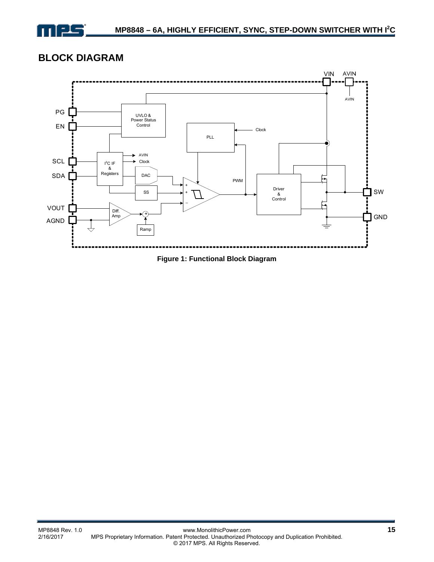

# **BLOCK DIAGRAM**



**Figure 1: Functional Block Diagram**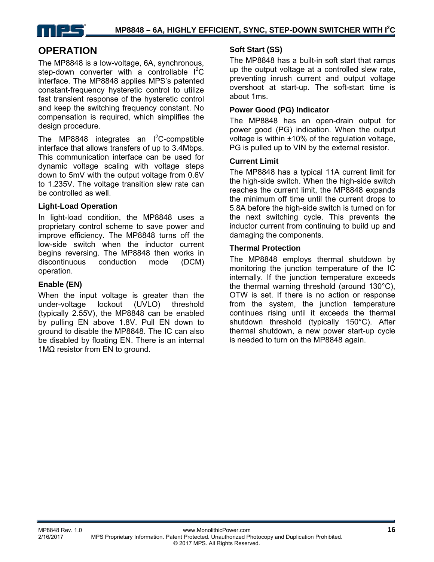

### **OPERATION**

The MP8848 is a low-voltage, 6A, synchronous, step-down converter with a controllable  $I^2C$ interface. The MP8848 applies MPS's patented constant-frequency hysteretic control to utilize fast transient response of the hysteretic control and keep the switching frequency constant. No compensation is required, which simplifies the design procedure.

The MP8848 integrates an  $I^2C$ -compatible interface that allows transfers of up to 3.4Mbps. This communication interface can be used for dynamic voltage scaling with voltage steps down to 5mV with the output voltage from 0.6V to 1.235V. The voltage transition slew rate can be controlled as well.

#### **Light-Load Operation**

In light-load condition, the MP8848 uses a proprietary control scheme to save power and improve efficiency. The MP8848 turns off the low-side switch when the inductor current begins reversing. The MP8848 then works in discontinuous conduction mode (DCM) operation.

#### **Enable (EN)**

When the input voltage is greater than the under-voltage lockout (UVLO) threshold (typically 2.55V), the MP8848 can be enabled by pulling EN above 1.8V. Pull EN down to ground to disable the MP8848. The IC can also be disabled by floating EN. There is an internal 1MΩ resistor from EN to ground.

#### **Soft Start (SS)**

The MP8848 has a built-in soft start that ramps up the output voltage at a controlled slew rate, preventing inrush current and output voltage overshoot at start-up. The soft-start time is about 1ms.

#### **Power Good (PG) Indicator**

The MP8848 has an open-drain output for power good (PG) indication. When the output voltage is within ±10% of the regulation voltage, PG is pulled up to VIN by the external resistor.

#### **Current Limit**

The MP8848 has a typical 11A current limit for the high-side switch. When the high-side switch reaches the current limit, the MP8848 expands the minimum off time until the current drops to 5.8A before the high-side switch is turned on for the next switching cycle. This prevents the inductor current from continuing to build up and damaging the components.

#### **Thermal Protection**

The MP8848 employs thermal shutdown by monitoring the junction temperature of the IC internally. If the junction temperature exceeds the thermal warning threshold (around 130°C), OTW is set. If there is no action or response from the system, the junction temperature continues rising until it exceeds the thermal shutdown threshold (typically 150°C). After thermal shutdown, a new power start-up cycle is needed to turn on the MP8848 again.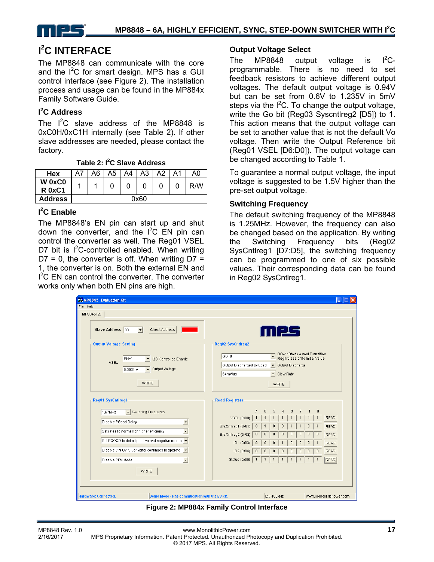

# **I 2 C INTERFACE**

The MP8848 can communicate with the core and the  $I^2C$  for smart design. MPS has a GUI control interface (see Figure 2). The installation process and usage can be found in the MP884x Family Software Guide.

### **I 2 C Address**

The  $I^2C$  slave address of the MP8848 is 0xC0H/0xC1H internally (see Table 2). If other slave addresses are needed, please contact the factory.

**Table 2: I2 C Slave Address** 

| Hex                     | A7   | A6 | A5 | A4 | A3 | A2 | A1 | A0  |
|-------------------------|------|----|----|----|----|----|----|-----|
| W 0xC0<br><b>R</b> 0xC1 |      |    |    |    |    |    |    | R/W |
| <b>Address</b>          | 0x60 |    |    |    |    |    |    |     |

### **I 2 C Enable**

The MP8848's EN pin can start up and shut down the converter, and the  $I^2C$  EN pin can control the converter as well. The Reg01 VSEL D7 bit is  $1^2$ C-controlled enabled. When writing  $D7 = 0$ , the converter is off. When writing  $D7 =$ 1, the converter is on. Both the external EN and  $I<sup>2</sup>C$  EN can control the converter. The converter works only when both EN pins are high.

#### **Output Voltage Select**

The MP8848 output voltage is  $I^2C$ programmable. There is no need to set feedback resistors to achieve different output voltages. The default output voltage is 0.94V but can be set from 0.6V to 1.235V in 5mV steps via the  $I^2C$ . To change the output voltage, write the Go bit (Reg03 Syscntlreg2 [D5]) to 1. This action means that the output voltage can be set to another value that is not the default Vo voltage. Then write the Output Reference bit (Reg01 VSEL [D6:D0]). The output voltage can be changed according to Table 1.

To guarantee a normal output voltage, the input voltage is suggested to be 1.5V higher than the pre-set output voltage.

#### **Switching Frequency**

The default switching frequency of the MP8848 is 1.25MHz. However, the frequency can also be changed based on the application. By writing the Switching Frequency bits (Reg02 SysCntlreg1 [D7:D5], the switching frequency can be programmed to one of six possible values. Their corresponding data can be found in Reg02 SysCntlreg1.

| & MP8845 Evaluation Kit                                                                                                                  | $\Box X$<br>H                                                                                                                                                                                  |
|------------------------------------------------------------------------------------------------------------------------------------------|------------------------------------------------------------------------------------------------------------------------------------------------------------------------------------------------|
| File Help                                                                                                                                |                                                                                                                                                                                                |
| MP884512C                                                                                                                                |                                                                                                                                                                                                |
| Slave Address 00<br>$\vert \cdot \vert$<br>Check Address                                                                                 | 11125                                                                                                                                                                                          |
| <b>Output Voltage Setting</b>                                                                                                            | <b>Reg02 SysCntireg2</b>                                                                                                                                                                       |
| I2C Controlled Enable<br>EN=1<br>$\blacktriangledown$<br><b>VSEL</b><br>Output Voltage<br>0.9031V<br>$\vert \cdot \vert$<br><b>WRITE</b> | GO=1: Starts a Vout Transition<br>$GO=0$<br>Regardless of its Initial Value<br>Output Discharged By Load<br>Output Discharge<br>$\vert$<br>64mWus<br>Slew Rate<br>$\mathbf{r}$<br><b>WRITE</b> |
| Reg01 SysCntIreg1                                                                                                                        | -Read Registers<br>$\theta$<br>$\overline{7}$<br>6<br>3<br>$\overline{2}$<br>5<br>4<br>$\overline{1}$                                                                                          |
| ▼ Switching Frequency<br>1.67MHz<br>Disable PGood Delay                                                                                  | <b>READ</b><br>VSEL (0x00)<br>$\mathbf{1}$                                                                                                                                                     |
| $\blacktriangledown$                                                                                                                     | SysCntIreg1 (0x01)<br>0<br>n<br>0<br><b>READ</b><br>0                                                                                                                                          |
| Set rates to normal for higher efficiency<br>$\overline{\phantom{a}}$                                                                    | SysCntIreg2 (0x02)<br>$\theta$<br>0<br>$\theta$<br>0<br>0<br>Ō<br><b>READ</b><br>n                                                                                                             |
| Set PGOOD to detect positive and negative excursi v                                                                                      | ID1 (0x03)<br>$\bf{0}$<br>$\overline{0}$<br><b>READ</b><br>0<br>0<br>0                                                                                                                         |
| Disable VIN OVP, Converter continues to operate v                                                                                        | <b>READ</b><br>ID2 (0x04)<br>$\theta$<br>0<br>0<br>0<br>O<br>0<br>0                                                                                                                            |
| Disable PFM Mode<br>$\overline{\phantom{a}}$                                                                                             | READ<br>Status (0x05)                                                                                                                                                                          |
| <b>WRITE</b>                                                                                                                             |                                                                                                                                                                                                |
|                                                                                                                                          |                                                                                                                                                                                                |
| Hardware: Connected.<br>Demo Mode - Has commucation with the EV kit.                                                                     | I2C 400kHz<br>www.monolithicpower.com                                                                                                                                                          |

**Figure 2: MP884x Family Control Interface**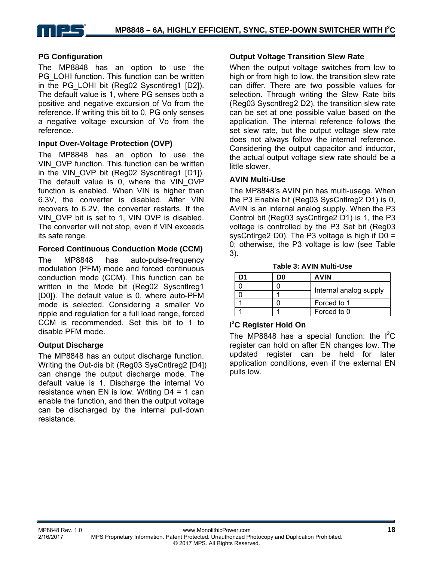

#### **PG Configuration**

The MP8848 has an option to use the PG LOHI function. This function can be written in the PG LOHI bit (Reg02 Syscntlreg1 [D2]). The default value is 1, where PG senses both a positive and negative excursion of Vo from the reference. If writing this bit to 0, PG only senses a negative voltage excursion of Vo from the reference.

#### **Input Over-Voltage Protection (OVP)**

The MP8848 has an option to use the VIN\_OVP function. This function can be written in the VIN OVP bit (Reg02 Syscntlreg1 [D1]). The default value is 0, where the VIN\_OVP function is enabled. When VIN is higher than 6.3V, the converter is disabled. After VIN recovers to 6.2V, the converter restarts. If the VIN\_OVP bit is set to 1, VIN OVP is disabled. The converter will not stop, even if VIN exceeds its safe range.

#### **Forced Continuous Conduction Mode (CCM)**

The MP8848 has auto-pulse-frequency modulation (PFM) mode and forced continuous conduction mode (CCM). This function can be written in the Mode bit (Reg02 Syscntlreg1 [D0]). The default value is 0, where auto-PFM mode is selected. Considering a smaller Vo ripple and regulation for a full load range, forced CCM is recommended. Set this bit to 1 to disable PFM mode.

#### **Output Discharge**

The MP8848 has an output discharge function. Writing the Out-dis bit (Reg03 SysCntlreg2 [D4]) can change the output discharge mode. The default value is 1. Discharge the internal Vo resistance when EN is low. Writing  $D4 = 1$  can enable the function, and then the output voltage can be discharged by the internal pull-down resistance.

#### **Output Voltage Transition Slew Rate**

When the output voltage switches from low to high or from high to low, the transition slew rate can differ. There are two possible values for selection. Through writing the Slew Rate bits (Reg03 Syscntlreg2 D2), the transition slew rate can be set at one possible value based on the application. The internal reference follows the set slew rate, but the output voltage slew rate does not always follow the internal reference. Considering the output capacitor and inductor, the actual output voltage slew rate should be a little slower.

#### **AVIN Multi-Use**

The MP8848's AVIN pin has multi-usage. When the P3 Enable bit (Reg03 SysCntlreg2 D1) is 0, AVIN is an internal analog supply. When the P3 Control bit (Reg03 sysCntlrge2 D1) is 1, the P3 voltage is controlled by the P3 Set bit (Reg03 sysCntlrge2 D0). The P3 voltage is high if  $D0 =$ 0; otherwise, the P3 voltage is low (see Table 3).

**Table 3: AVIN Multi-Use** 

| Ŋ1 | D٥ | <b>AVIN</b>            |
|----|----|------------------------|
|    |    |                        |
|    |    | Internal analog supply |
|    |    | Forced to 1            |
|    |    | Forced to 0            |

### **I 2 C Register Hold On**

The MP8848 has a special function: the  $I^2C$ register can hold on after EN changes low. The updated register can be held for later application conditions, even if the external EN pulls low.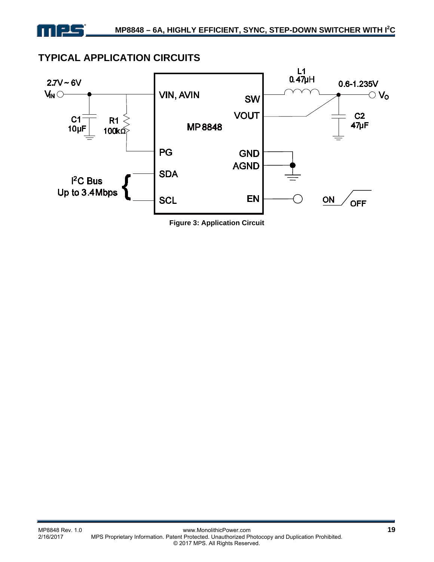# **TYPICAL APPLICATION CIRCUITS**



**Figure 3: Application Circuit**